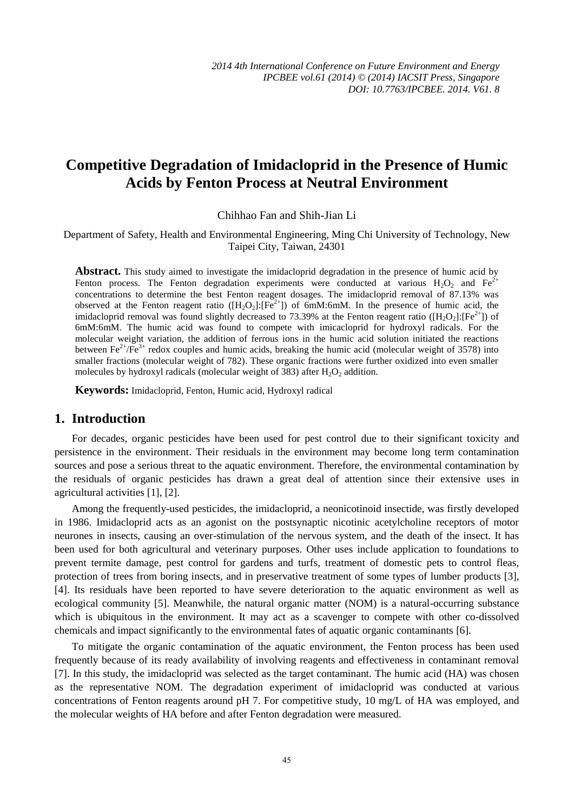# **Competitive Degradation of Imidacloprid in the Presence of Humic Acids by Fenton Process at Neutral Environment**

Chihhao Fan and Shih-Jian Li

Department of Safety, Health and Environmental Engineering, Ming Chi University of Technology, New Taipei City, Taiwan, 24301

Abstract. This study aimed to investigate the imidacloprid degradation in the presence of humic acid by Fenton process. The Fenton degradation experiments were conducted at various  $H_2O_2$  and  $Fe^{2+}$ concentrations to determine the best Fenton reagent dosages. The imidacloprid removal of 87.13% was observed at the Fenton reagent ratio ( $[H_2O_2]:[Fe^{2+}]$ ) of 6mM:6mM. In the presence of humic acid, the imidacloprid removal was found slightly decreased to 73.39% at the Fenton reagent ratio ( $[H_2O_2]:[Fe^{2+}]$ ) of 6mM:6mM. The humic acid was found to compete with imicacloprid for hydroxyl radicals. For the molecular weight variation, the addition of ferrous ions in the humic acid solution initiated the reactions between  $Fe^{2+}/Fe^{3+}$  redox couples and humic acids, breaking the humic acid (molecular weight of 3578) into smaller fractions (molecular weight of 782). These organic fractions were further oxidized into even smaller molecules by hydroxyl radicals (molecular weight of 383) after  $H_2O_2$  addition.

**Keywords:** Imidacloprid, Fenton, Humic acid, Hydroxyl radical

## **1. Introduction**

For decades, organic pesticides have been used for pest control due to their significant toxicity and persistence in the environment. Their residuals in the environment may become long term contamination sources and pose a serious threat to the aquatic environment. Therefore, the environmental contamination by the residuals of organic pesticides has drawn a great deal of attention since their extensive uses in agricultural activities [1], [2].

Among the frequently-used pesticides, the imidacloprid, a neonicotinoid insectide, was firstly developed in 1986. Imidacloprid acts as an agonist on the postsynaptic nicotinic acetylcholine receptors of motor neurones in insects, causing an over-stimulation of the nervous system, and the death of the insect. It has been used for both agricultural and veterinary purposes. Other uses include application to foundations to prevent termite damage, pest control for gardens and turfs, treatment of domestic pets to control fleas, protection of trees from boring insects, and in preservative treatment of some types of lumber products [3], [4]. Its residuals have been reported to have severe deterioration to the aquatic environment as well as ecological community [5]. Meanwhile, the natural organic matter (NOM) is a natural-occurring substance which is ubiquitous in the environment. It may act as a scavenger to compete with other co-dissolved chemicals and impact significantly to the environmental fates of aquatic organic contaminants [6].

To mitigate the organic contamination of the aquatic environment, the Fenton process has been used frequently because of its ready availability of involving reagents and effectiveness in contaminant removal [7]. In this study, the imidacloprid was selected as the target contaminant. The humic acid (HA) was chosen as the representative NOM. The degradation experiment of imidacloprid was conducted at various concentrations of Fenton reagents around pH 7. For competitive study, 10 mg/L of HA was employed, and the molecular weights of HA before and after Fenton degradation were measured.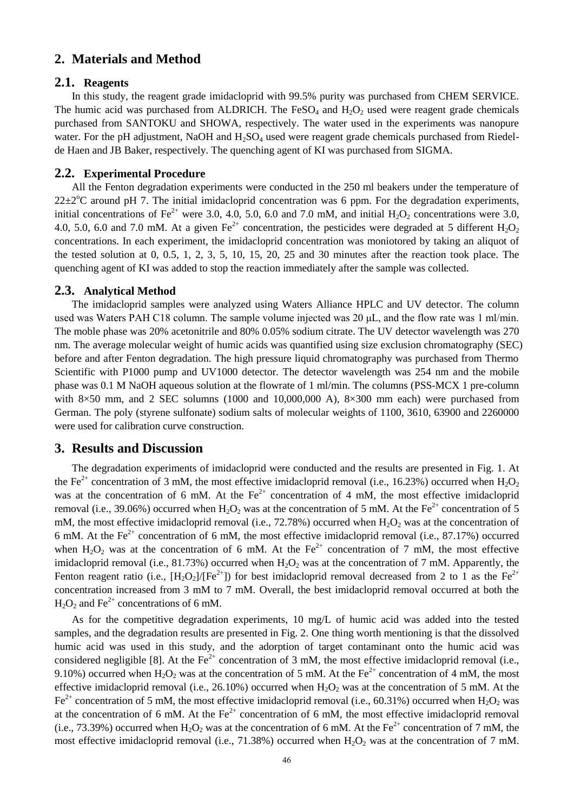## **2. Materials and Method**

### **2.1. Reagents**

In this study, the reagent grade imidacloprid with 99.5% purity was purchased from CHEM SERVICE. The humic acid was purchased from ALDRICH. The FeSO<sub>4</sub> and  $H_2O_2$  used were reagent grade chemicals purchased from SANTOKU and SHOWA, respectively. The water used in the experiments was nanopure water. For the pH adjustment, NaOH and  $H_2SO_4$  used were reagent grade chemicals purchased from Riedelde Haen and JB Baker, respectively. The quenching agent of KI was purchased from SIGMA.

#### **2.2. Experimental Procedure**

All the Fenton degradation experiments were conducted in the 250 ml beakers under the temperature of  $22\pm2^{\circ}\text{C}$  around pH 7. The initial imidacloprid concentration was 6 ppm. For the degradation experiments, initial concentrations of Fe<sup>2+</sup> were 3.0, 4.0, 5.0, 6.0 and 7.0 mM, and initial  $H_2O_2$  concentrations were 3.0, 4.0, 5.0, 6.0 and 7.0 mM. At a given  $Fe^{2+}$  concentration, the pesticides were degraded at 5 different  $H_2O_2$ concentrations. In each experiment, the imidacloprid concentration was moniotored by taking an aliquot of the tested solution at 0, 0.5, 1, 2, 3, 5, 10, 15, 20, 25 and 30 minutes after the reaction took place. The quenching agent of KI was added to stop the reaction immediately after the sample was collected.

#### **2.3. Analytical Method**

The imidacloprid samples were analyzed using Waters Alliance HPLC and UV detector. The column used was Waters PAH C18 column. The sample volume injected was 20 μL, and the flow rate was 1 ml/min. The moble phase was 20% acetonitrile and 80% 0.05% sodium citrate. The UV detector wavelength was 270 nm. The average molecular weight of humic acids was quantified using size exclusion chromatography (SEC) before and after Fenton degradation. The high pressure liquid chromatography was purchased from Thermo Scientific with P1000 pump and UV1000 detector. The detector wavelength was 254 nm and the mobile phase was 0.1 M NaOH aqueous solution at the flowrate of 1 ml/min. The columns (PSS-MCX 1 pre-column with  $8\times50$  mm, and 2 SEC solumns (1000 and 10,000,000 A),  $8\times300$  mm each) were purchased from German. The poly (styrene sulfonate) sodium salts of molecular weights of 1100, 3610, 63900 and 2260000 were used for calibration curve construction.

#### **3. Results and Discussion**

The degradation experiments of imidacloprid were conducted and the results are presented in Fig. 1. At the Fe<sup>2+</sup> concentration of 3 mM, the most effective imidacloprid removal (i.e., 16.23%) occurred when  $H_2O_2$ was at the concentration of 6 mM. At the  $Fe<sup>2+</sup>$  concentration of 4 mM, the most effective imidacloprid removal (i.e., 39.06%) occurred when  $H_2O_2$  was at the concentration of 5 mM. At the Fe<sup>2+</sup> concentration of 5 mM, the most effective imidacloprid removal (i.e.,  $72.78\%$ ) occurred when  $H_2O_2$  was at the concentration of 6 mM. At the  $Fe^{2+}$  concentration of 6 mM, the most effective imidacloprid removal (i.e., 87.17%) occurred when  $H_2O_2$  was at the concentration of 6 mM. At the Fe<sup>2+</sup> concentration of 7 mM, the most effective imidacloprid removal (i.e., 81.73%) occurred when  $H_2O_2$  was at the concentration of 7 mM. Apparently, the Fenton reagent ratio (i.e.,  $[H_2O_2]/[Fe^{2+}]$ ) for best imidacloprid removal decreased from 2 to 1 as the Fe<sup>2+</sup> concentration increased from 3 mM to 7 mM. Overall, the best imidacloprid removal occurred at both the  $H_2O_2$  and Fe<sup>2+</sup> concentrations of 6 mM.

As for the competitive degradation experiments, 10 mg/L of humic acid was added into the tested samples, and the degradation results are presented in Fig. 2. One thing worth mentioning is that the dissolved humic acid was used in this study, and the adorption of target contaminant onto the humic acid was considered negligible [8]. At the  $Fe^{2+}$  concentration of 3 mM, the most effective imidacloprid removal (i.e., 9.10%) occurred when  $H_2O_2$  was at the concentration of 5 mM. At the Fe<sup>2+</sup> concentration of 4 mM, the most effective imidacloprid removal (i.e., 26.10%) occurred when  $H_2O_2$  was at the concentration of 5 mM. At the Fe<sup>2+</sup> concentration of 5 mM, the most effective imidacloprid removal (i.e., 60.31%) occurred when  $H_2O_2$  was at the concentration of 6 mM. At the  $Fe^{2+}$  concentration of 6 mM, the most effective imidacloprid removal (i.e., 73.39%) occurred when  $H_2O_2$  was at the concentration of 6 mM. At the Fe<sup>2+</sup> concentration of 7 mM, the most effective imidacloprid removal (i.e., 71.38%) occurred when  $H_2O_2$  was at the concentration of 7 mM.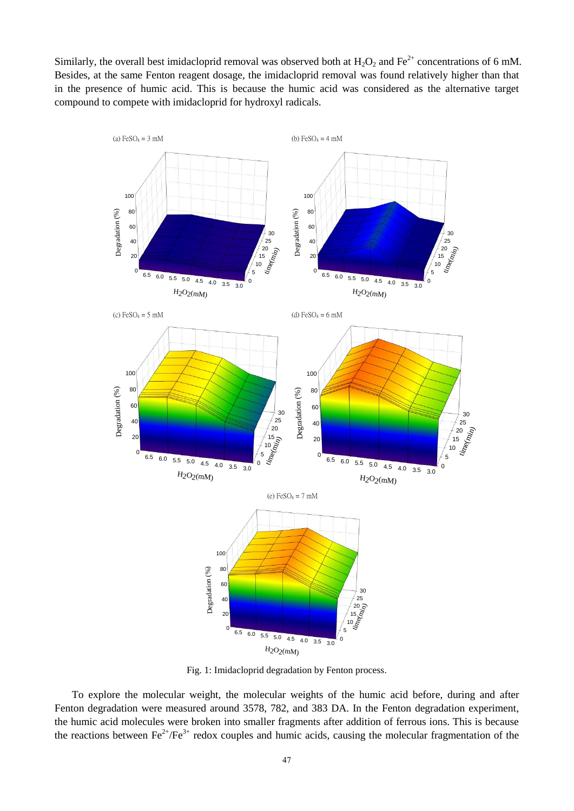Similarly, the overall best imidacloprid removal was observed both at  $H_2O_2$  and  $Fe^{2+}$  concentrations of 6 mM. Besides, at the same Fenton reagent dosage, the imidacloprid removal was found relatively higher than that in the presence of humic acid. This is because the humic acid was considered as the alternative target compound to compete with imidacloprid for hydroxyl radicals.



Fig. 1: Imidacloprid degradation by Fenton process.

To explore the molecular weight, the molecular weights of the humic acid before, during and after Fenton degradation were measured around 3578, 782, and 383 DA. In the Fenton degradation experiment, the humic acid molecules were broken into smaller fragments after addition of ferrous ions. This is because the reactions between  $\text{Fe}^{2+}/\text{Fe}^{3+}$  redox couples and humic acids, causing the molecular fragmentation of the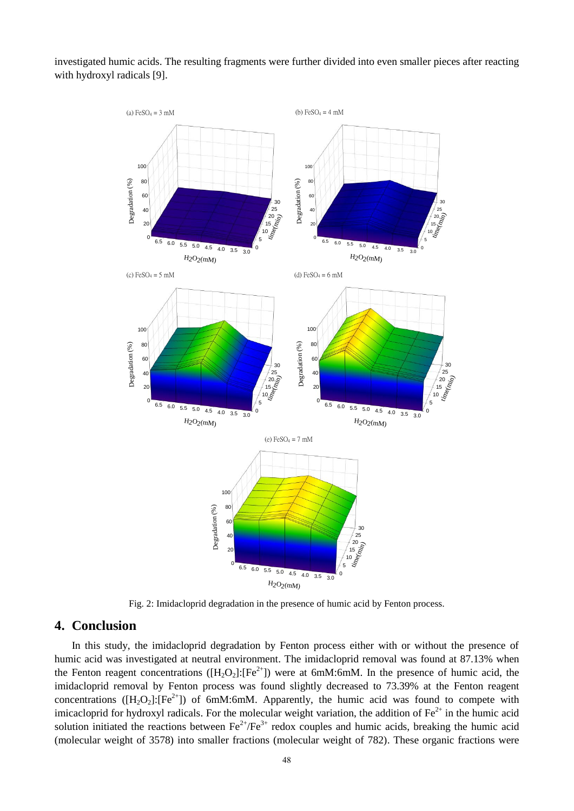investigated humic acids. The resulting fragments were further divided into even smaller pieces after reacting with hydroxyl radicals [9].



Fig. 2: Imidacloprid degradation in the presence of humic acid by Fenton process.

### **4. Conclusion**

In this study, the imidacloprid degradation by Fenton process either with or without the presence of humic acid was investigated at neutral environment. The imidacloprid removal was found at 87.13% when the Fenton reagent concentrations ( $[H_2O_2]:[Fe^{2+}]$ ) were at 6mM:6mM. In the presence of humic acid, the imidacloprid removal by Fenton process was found slightly decreased to 73.39% at the Fenton reagent concentrations ( $[H_2O_2]: [Fe^{2+}]$ ) of 6mM:6mM. Apparently, the humic acid was found to compete with imicacloprid for hydroxyl radicals. For the molecular weight variation, the addition of  $Fe<sup>2+</sup>$  in the humic acid solution initiated the reactions between  $\text{Fe}^{2+}/\text{Fe}^{3+}$  redox couples and humic acids, breaking the humic acid (molecular weight of 3578) into smaller fractions (molecular weight of 782). These organic fractions were